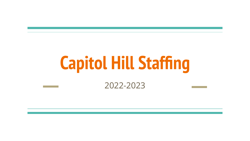# **Capitol Hill Staffing**

#### 2022-2023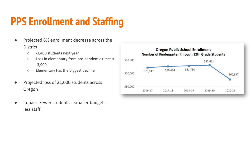# **PPS Enrollment and Staffing**

- Projected 8% enrollment decrease across the **District** 
	- -3,400 students next year
	- Loss in elementary from pre-pandemic times = -3,900
	- Elementary has the biggest decline
- Projected loss of 21,000 students across Oregon
- Impact: Fewer students = smaller budget = less staff

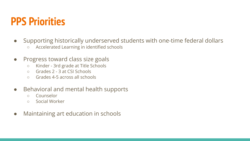### **PPS Priorities**

- Supporting historically underserved students with one-time federal dollars
	- Accelerated Learning in identified schools
- Progress toward class size goals
	- Kinder 3rd grade at Title Schools
	- Grades 2 3 at CSI Schools
	- Grades 4-5 across all schools
- Behavioral and mental health supports
	- Counselor
	- Social Worker
- Maintaining art education in schools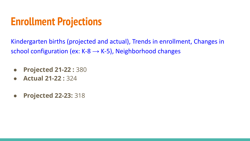### **Enrollment Projections**

Kindergarten births (projected and actual), Trends in enrollment, Changes in school configuration (ex: K-8  $\rightarrow$  K-5), Neighborhood changes

- **Projected 21-22 :** 380
- **Actual 21-22 :** 324
- **Projected 22-23:** 318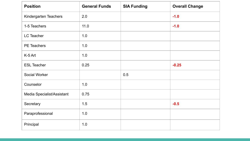| <b>Position</b>            | <b>General Funds</b> | <b>SIA Funding</b> | <b>Overall Change</b> |
|----------------------------|----------------------|--------------------|-----------------------|
| Kindergarten Teachers      | 2.0                  |                    | $-1.0$                |
| 1-5 Teachers               | 11.0                 |                    | $-1.0$                |
| LC Teacher                 | 1.0                  |                    |                       |
| PE Teachers                | 1.0                  |                    |                       |
| K-5 Art                    | 1.0                  |                    |                       |
| <b>ESL Teacher</b>         | 0.25                 |                    | $-0.25$               |
| Social Worker              |                      | 0.5                |                       |
| Counselor                  | 1.0                  |                    |                       |
| Media Specialist/Assistant | 0.75                 |                    |                       |
| Secretary                  | 1.5                  |                    | $-0.5$                |
| Paraprofessional           | 1.0                  |                    |                       |
| Principal                  | 1.0                  |                    |                       |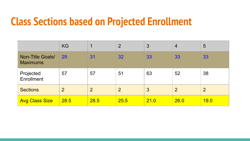#### **Class Sections based on Projected Enrollment**

|                                     | <b>KG</b>      |                | $\overline{2}$ | 3    | $\overline{4}$ | 5              |
|-------------------------------------|----------------|----------------|----------------|------|----------------|----------------|
| Non-Title Goals/<br><b>Maximums</b> | 29             | 31             | 32             | 33   | 33             | 33             |
| Projected<br>Enrollment             | 57             | 57             | 51             | 63   | 52             | 38             |
| <b>Sections</b>                     | $\overline{2}$ | $\overline{2}$ | $\overline{2}$ | 3    | 2              | $\overline{2}$ |
| <b>Avg Class Size</b>               | 28.5           | 28.5           | 25.5           | 21.0 | 26.0           | 19.0           |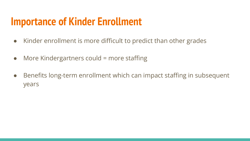### **Importance of Kinder Enrollment**

- Kinder enrollment is more difficult to predict than other grades
- $\bullet$  More Kindergartners could = more staffing
- Benefits long-term enrollment which can impact staffing in subsequent years